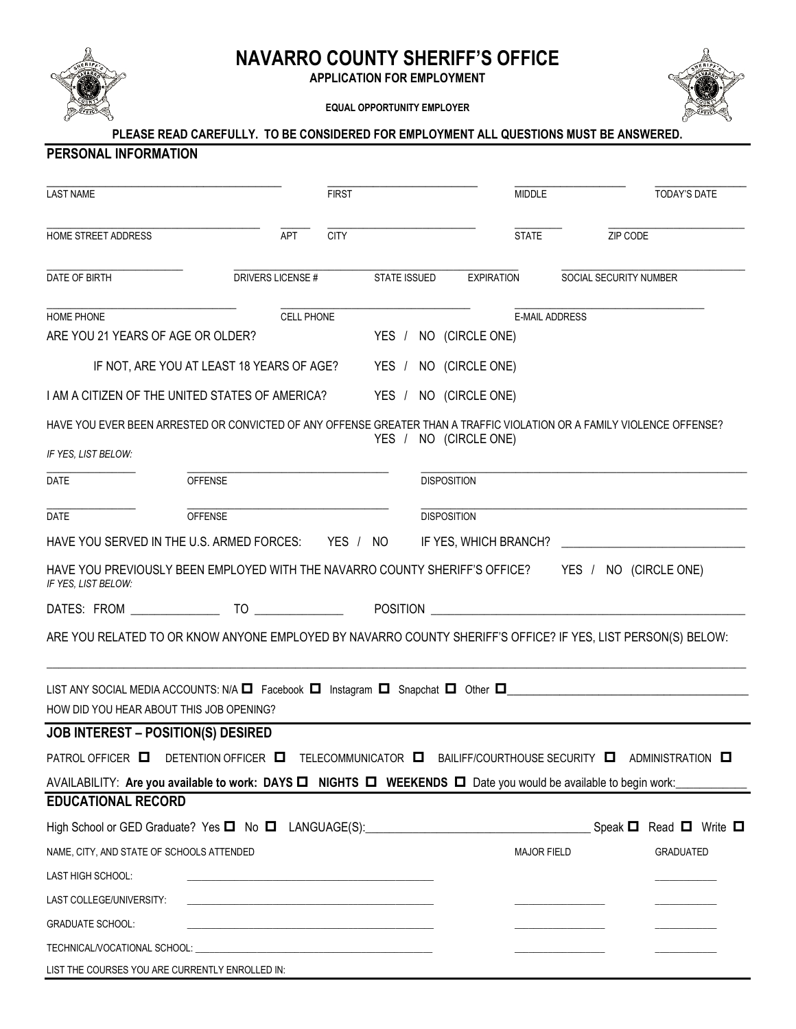

TECHNICAL/VOCATIONAL SCHOOL:

LIST THE COURSES YOU ARE CURRENTLY ENROLLED IN:

## **NAVARRO COUNTY SHERIFF'S OFFICE**

**APPLICATION FOR EMPLOYMENT**

**EQUAL OPPORTUNITY EMPLOYER**



| <b>LAST NAME</b>                                                                                                                                                                                                                                                                                                                                                                                                                                                                                                                                                                                                                           |                                                                 |                         | <b>FIRST</b>                                                               |  |                                           | MIDDLE                |                        | TODAY'S DATE                                                                                                      |
|--------------------------------------------------------------------------------------------------------------------------------------------------------------------------------------------------------------------------------------------------------------------------------------------------------------------------------------------------------------------------------------------------------------------------------------------------------------------------------------------------------------------------------------------------------------------------------------------------------------------------------------------|-----------------------------------------------------------------|-------------------------|----------------------------------------------------------------------------|--|-------------------------------------------|-----------------------|------------------------|-------------------------------------------------------------------------------------------------------------------|
|                                                                                                                                                                                                                                                                                                                                                                                                                                                                                                                                                                                                                                            |                                                                 |                         |                                                                            |  |                                           |                       |                        |                                                                                                                   |
| HOME STREET ADDRESS                                                                                                                                                                                                                                                                                                                                                                                                                                                                                                                                                                                                                        |                                                                 | $-\frac{1}{\text{APT}}$ | <b>CITY</b>                                                                |  |                                           |                       | STATE ZIP CODE         |                                                                                                                   |
| DATE OF BIRTH                                                                                                                                                                                                                                                                                                                                                                                                                                                                                                                                                                                                                              |                                                                 |                         |                                                                            |  | DRIVERS LICENSE # STATE ISSUED EXPIRATION |                       | SOCIAL SECURITY NUMBER |                                                                                                                   |
| HOME PHONE                                                                                                                                                                                                                                                                                                                                                                                                                                                                                                                                                                                                                                 |                                                                 | <b>CELL PHONE</b>       |                                                                            |  |                                           | <b>E-MAIL ADDRESS</b> |                        |                                                                                                                   |
| ARE YOU 21 YEARS OF AGE OR OLDER?                                                                                                                                                                                                                                                                                                                                                                                                                                                                                                                                                                                                          |                                                                 |                         |                                                                            |  | YES / NO (CIRCLE ONE)                     |                       |                        |                                                                                                                   |
|                                                                                                                                                                                                                                                                                                                                                                                                                                                                                                                                                                                                                                            | IF NOT, ARE YOU AT LEAST 18 YEARS OF AGE? YES / NO (CIRCLE ONE) |                         |                                                                            |  |                                           |                       |                        |                                                                                                                   |
| I AM A CITIZEN OF THE UNITED STATES OF AMERICA?                                                                                                                                                                                                                                                                                                                                                                                                                                                                                                                                                                                            |                                                                 |                         |                                                                            |  | YES / NO (CIRCLE ONE)                     |                       |                        |                                                                                                                   |
| HAVE YOU EVER BEEN ARRESTED OR CONVICTED OF ANY OFFENSE GREATER THAN A TRAFFIC VIOLATION OR A FAMILY VIOLENCE OFFENSE?                                                                                                                                                                                                                                                                                                                                                                                                                                                                                                                     |                                                                 |                         |                                                                            |  |                                           |                       |                        |                                                                                                                   |
| IF YES, LIST BELOW:                                                                                                                                                                                                                                                                                                                                                                                                                                                                                                                                                                                                                        |                                                                 |                         |                                                                            |  | YES / NO (CIRCLE ONE)                     |                       |                        |                                                                                                                   |
| DATE                                                                                                                                                                                                                                                                                                                                                                                                                                                                                                                                                                                                                                       | <b>OFFENSE</b>                                                  |                         |                                                                            |  | <b>DISPOSITION</b>                        |                       |                        |                                                                                                                   |
| DATE                                                                                                                                                                                                                                                                                                                                                                                                                                                                                                                                                                                                                                       | <b>OFFENSE</b>                                                  |                         |                                                                            |  | <b>DISPOSITION</b>                        |                       |                        |                                                                                                                   |
|                                                                                                                                                                                                                                                                                                                                                                                                                                                                                                                                                                                                                                            |                                                                 |                         |                                                                            |  |                                           |                       |                        |                                                                                                                   |
| HAVE YOU SERVED IN THE U.S. ARMED FORCES:        YES   /   NO          IF YES, WHICH BRANCH?   _____________________                                                                                                                                                                                                                                                                                                                                                                                                                                                                                                                       |                                                                 |                         |                                                                            |  |                                           |                       |                        |                                                                                                                   |
| HAVE YOU PREVIOUSLY BEEN EMPLOYED WITH THE NAVARRO COUNTY SHERIFF'S OFFICE? YES / NO (CIRCLE ONE)<br>IF YES, LIST BELOW:                                                                                                                                                                                                                                                                                                                                                                                                                                                                                                                   |                                                                 |                         |                                                                            |  |                                           |                       |                        |                                                                                                                   |
|                                                                                                                                                                                                                                                                                                                                                                                                                                                                                                                                                                                                                                            |                                                                 |                         |                                                                            |  |                                           |                       |                        |                                                                                                                   |
|                                                                                                                                                                                                                                                                                                                                                                                                                                                                                                                                                                                                                                            |                                                                 |                         |                                                                            |  |                                           |                       |                        |                                                                                                                   |
|                                                                                                                                                                                                                                                                                                                                                                                                                                                                                                                                                                                                                                            |                                                                 |                         |                                                                            |  |                                           |                       |                        |                                                                                                                   |
|                                                                                                                                                                                                                                                                                                                                                                                                                                                                                                                                                                                                                                            |                                                                 |                         |                                                                            |  |                                           |                       |                        |                                                                                                                   |
|                                                                                                                                                                                                                                                                                                                                                                                                                                                                                                                                                                                                                                            |                                                                 |                         |                                                                            |  |                                           |                       |                        |                                                                                                                   |
|                                                                                                                                                                                                                                                                                                                                                                                                                                                                                                                                                                                                                                            |                                                                 |                         |                                                                            |  |                                           |                       |                        |                                                                                                                   |
|                                                                                                                                                                                                                                                                                                                                                                                                                                                                                                                                                                                                                                            |                                                                 |                         |                                                                            |  |                                           |                       |                        |                                                                                                                   |
|                                                                                                                                                                                                                                                                                                                                                                                                                                                                                                                                                                                                                                            |                                                                 |                         |                                                                            |  |                                           |                       |                        |                                                                                                                   |
|                                                                                                                                                                                                                                                                                                                                                                                                                                                                                                                                                                                                                                            |                                                                 |                         |                                                                            |  |                                           |                       |                        | DETENTION OFFICER <b>D</b> TELECOMMUNICATOR <b>D</b> BAILIFF/COURTHOUSE SECURITY <b>D</b> ADMINISTRATION <b>D</b> |
|                                                                                                                                                                                                                                                                                                                                                                                                                                                                                                                                                                                                                                            |                                                                 |                         |                                                                            |  |                                           |                       |                        |                                                                                                                   |
|                                                                                                                                                                                                                                                                                                                                                                                                                                                                                                                                                                                                                                            |                                                                 |                         |                                                                            |  |                                           |                       | Speak $\blacksquare$   |                                                                                                                   |
|                                                                                                                                                                                                                                                                                                                                                                                                                                                                                                                                                                                                                                            |                                                                 |                         |                                                                            |  |                                           | <b>MAJOR FIELD</b>    |                        | <b>GRADUATED</b>                                                                                                  |
| ARE YOU RELATED TO OR KNOW ANYONE EMPLOYED BY NAVARRO COUNTY SHERIFF'S OFFICE? IF YES, LIST PERSON(S) BELOW:<br>LIST ANY SOCIAL MEDIA ACCOUNTS: N/A $\Box$ Facebook $\Box$ Instagram $\Box$ Snapchat $\Box$ Other $\Box$<br>HOW DID YOU HEAR ABOUT THIS JOB OPENING?<br>JOB INTEREST - POSITION(S) DESIRED<br>PATROL OFFICER <b>D</b><br>AVAILABILITY: Are you available to work: DAYS □ NIGHTS □ WEEKENDS □ Date you would be available to begin work:<br><b>EDUCATIONAL RECORD</b><br>High School or GED Graduate? Yes ◘ No ◘ LANGUAGE(S):____________________________<br>NAME, CITY, AND STATE OF SCHOOLS ATTENDED<br>LAST HIGH SCHOOL: |                                                                 |                         | the control of the control of the control of the control of the control of |  |                                           |                       |                        |                                                                                                                   |
| LAST COLLEGE/UNIVERSITY:                                                                                                                                                                                                                                                                                                                                                                                                                                                                                                                                                                                                                   |                                                                 |                         |                                                                            |  |                                           |                       |                        | Read $\Box$ Write $\Box$                                                                                          |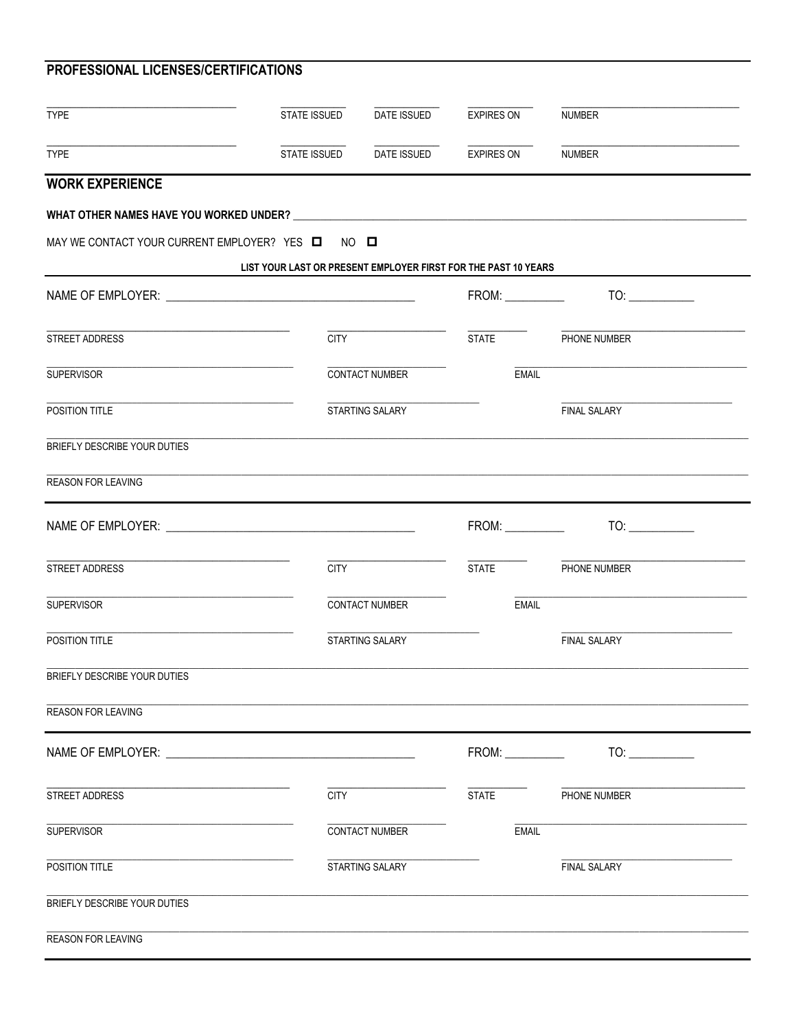| <b>TYPE</b>                                      | <b>STATE ISSUED</b>                                            | DATE ISSUED                         | <b>EXPIRES ON</b> | <b>NUMBER</b>       |  |
|--------------------------------------------------|----------------------------------------------------------------|-------------------------------------|-------------------|---------------------|--|
| <b>TYPE</b>                                      |                                                                | STATE ISSUED DATE ISSUED EXPIRES ON |                   | <b>NUMBER</b>       |  |
| <b>WORK EXPERIENCE</b>                           |                                                                |                                     |                   |                     |  |
|                                                  |                                                                |                                     |                   |                     |  |
| MAY WE CONTACT YOUR CURRENT EMPLOYER? YES Q NO Q |                                                                |                                     |                   |                     |  |
|                                                  | LIST YOUR LAST OR PRESENT EMPLOYER FIRST FOR THE PAST 10 YEARS |                                     |                   |                     |  |
|                                                  |                                                                |                                     |                   |                     |  |
| STREET ADDRESS                                   | <b>CITY</b>                                                    |                                     | <b>STATE</b>      | PHONE NUMBER        |  |
| <b>SUPERVISOR</b>                                |                                                                | <b>CONTACT NUMBER</b>               | <b>EMAIL</b>      |                     |  |
| POSITION TITLE                                   |                                                                | STARTING SALARY                     |                   | <b>FINAL SALARY</b> |  |
| BRIEFLY DESCRIBE YOUR DUTIES                     |                                                                |                                     |                   |                     |  |
| <b>REASON FOR LEAVING</b>                        |                                                                |                                     |                   |                     |  |
|                                                  |                                                                |                                     |                   | TO:                 |  |
| STREET ADDRESS                                   | <b>CITY</b>                                                    |                                     | STATE             | PHONE NUMBER        |  |
| <b>SUPERVISOR</b>                                |                                                                | <b>CONTACT NUMBER</b>               | <b>EMAIL</b>      |                     |  |
| POSITION TITLE                                   |                                                                | STARTING SALARY                     |                   | <b>FINAL SALARY</b> |  |
| BRIEFLY DESCRIBE YOUR DUTIES                     |                                                                |                                     |                   |                     |  |
| <b>REASON FOR LEAVING</b>                        |                                                                |                                     |                   |                     |  |
|                                                  |                                                                |                                     |                   | TO:                 |  |
|                                                  |                                                                |                                     |                   |                     |  |
| STREET ADDRESS                                   | <b>CITY</b>                                                    |                                     | <b>STATE</b>      | PHONE NUMBER        |  |
| <b>SUPERVISOR</b>                                |                                                                | CONTACT NUMBER                      | <b>EMAIL</b>      |                     |  |
| POSITION TITLE                                   |                                                                | STARTING SALARY                     |                   | <b>FINAL SALARY</b> |  |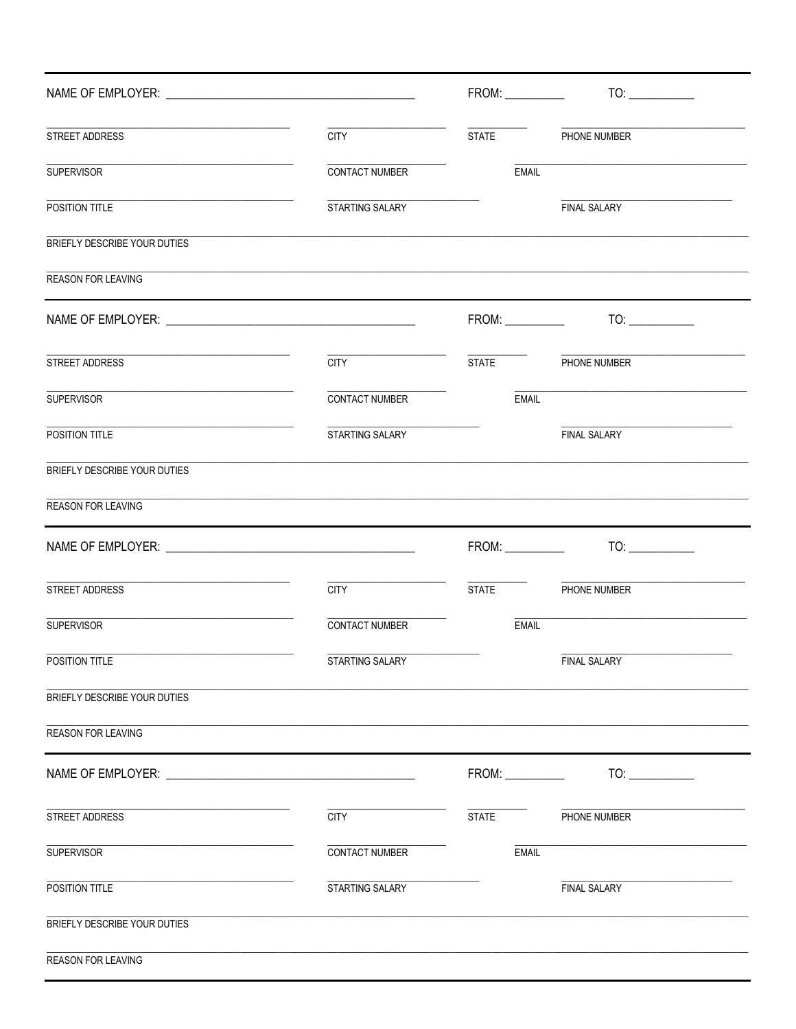|                                                                                                                                             |                       |                        | TO:                 |  |
|---------------------------------------------------------------------------------------------------------------------------------------------|-----------------------|------------------------|---------------------|--|
| STREET ADDRESS                                                                                                                              | <b>CITY</b>           | <b>STATE</b>           | PHONE NUMBER        |  |
| <b>SUPERVISOR</b>                                                                                                                           | CONTACT NUMBER        | <b>EMAIL</b>           |                     |  |
| POSITION TITLE                                                                                                                              | STARTING SALARY       |                        | <b>FINAL SALARY</b> |  |
| BRIEFLY DESCRIBE YOUR DUTIES                                                                                                                |                       |                        |                     |  |
| <b>REASON FOR LEAVING</b>                                                                                                                   |                       |                        |                     |  |
|                                                                                                                                             |                       |                        | TO:                 |  |
| STREET ADDRESS                                                                                                                              | <b>CITY CITY</b>      | STATE <b>The STATE</b> | PHONE NUMBER        |  |
| <u> 1989 - Johann John Stein, market fan it fjort fan it fjort fan it fjort fan it fjort fan it fjort fan it fjort</u><br><b>SUPERVISOR</b> | CONTACT NUMBER        | <b>EMAIL</b>           |                     |  |
| POSITION TITLE                                                                                                                              | STARTING SALARY       |                        | <b>FINAL SALARY</b> |  |
| BRIEFLY DESCRIBE YOUR DUTIES                                                                                                                |                       |                        |                     |  |
| <b>REASON FOR LEAVING</b>                                                                                                                   |                       |                        |                     |  |
|                                                                                                                                             |                       |                        |                     |  |
| STREET ADDRESS                                                                                                                              | <b>CITY</b>           | <b>STATE</b>           | PHONE NUMBER        |  |
| <b>SUPERVISOR</b>                                                                                                                           | <b>CONTACT NUMBER</b> | <b>EMAIL</b>           |                     |  |
| POSITION TITLE                                                                                                                              | STARTING SALARY       |                        | <b>FINAL SALARY</b> |  |
| BRIEFLY DESCRIBE YOUR DUTIES                                                                                                                |                       |                        |                     |  |
| REASON FOR LEAVING                                                                                                                          |                       |                        |                     |  |
|                                                                                                                                             |                       | FROM:                  | TO:                 |  |
| STREET ADDRESS                                                                                                                              | <b>CITY</b>           | <b>STATE</b>           | PHONE NUMBER        |  |
| <b>SUPERVISOR</b>                                                                                                                           | CONTACT NUMBER        | <b>EMAIL</b>           |                     |  |
| POSITION TITLE                                                                                                                              | STARTING SALARY       |                        | FINAL SALARY        |  |
| BRIEFLY DESCRIBE YOUR DUTIES                                                                                                                |                       |                        |                     |  |
| REASON FOR LEAVING                                                                                                                          |                       |                        |                     |  |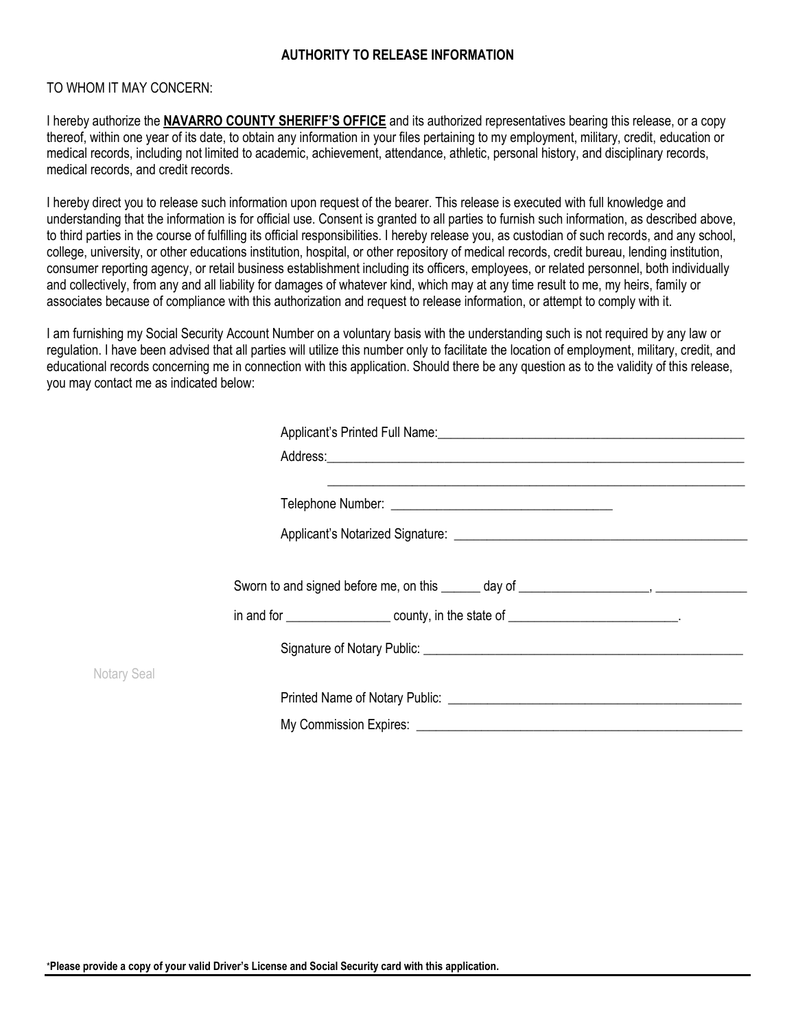## **AUTHORITY TO RELEASE INFORMATION**

## TO WHOM IT MAY CONCERN:

I hereby authorize the **NAVARRO COUNTY SHERIFF'S OFFICE** and its authorized representatives bearing this release, or a copy thereof, within one year of its date, to obtain any information in your files pertaining to my employment, military, credit, education or medical records, including not limited to academic, achievement, attendance, athletic, personal history, and disciplinary records, medical records, and credit records.

I hereby direct you to release such information upon request of the bearer. This release is executed with full knowledge and understanding that the information is for official use. Consent is granted to all parties to furnish such information, as described above, to third parties in the course of fulfilling its official responsibilities. I hereby release you, as custodian of such records, and any school, college, university, or other educations institution, hospital, or other repository of medical records, credit bureau, lending institution, consumer reporting agency, or retail business establishment including its officers, employees, or related personnel, both individually and collectively, from any and all liability for damages of whatever kind, which may at any time result to me, my heirs, family or associates because of compliance with this authorization and request to release information, or attempt to comply with it.

I am furnishing my Social Security Account Number on a voluntary basis with the understanding such is not required by any law or regulation. I have been advised that all parties will utilize this number only to facilitate the location of employment, military, credit, and educational records concerning me in connection with this application. Should there be any question as to the validity of this release, you may contact me as indicated below:

|             | <u> 1989 - Johann Stoff, amerikansk politiker (d. 1989)</u>                   |
|-------------|-------------------------------------------------------------------------------|
|             |                                                                               |
|             | Sworn to and signed before me, on this $\qquad \qquad$ day of $\qquad \qquad$ |
|             |                                                                               |
|             |                                                                               |
| Notary Seal |                                                                               |
|             |                                                                               |
|             |                                                                               |